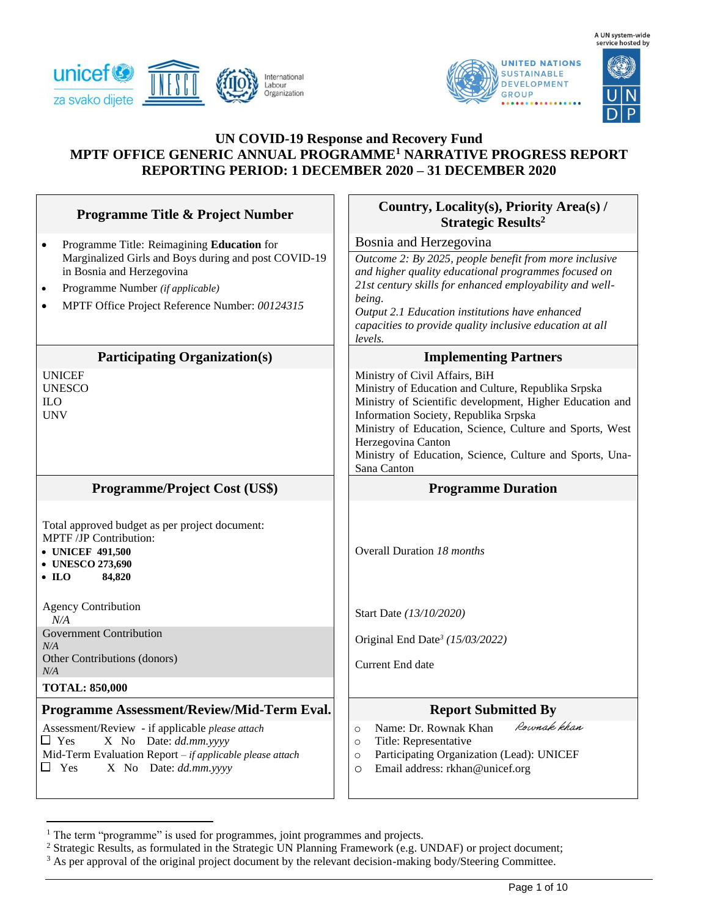





# **UN COVID-19 Response and Recovery Fund MPTF OFFICE GENERIC ANNUAL PROGRAMME<sup>1</sup> NARRATIVE PROGRESS REPORT REPORTING PERIOD: 1 DECEMBER 2020 – 31 DECEMBER 2020**

| <b>Programme Title &amp; Project Number</b>                                                                                                                                                                                                                  | Country, Locality(s), Priority Area(s) /<br><b>Strategic Results<sup>2</sup></b>                                                                                                                                                                                                                                                                        |  |
|--------------------------------------------------------------------------------------------------------------------------------------------------------------------------------------------------------------------------------------------------------------|---------------------------------------------------------------------------------------------------------------------------------------------------------------------------------------------------------------------------------------------------------------------------------------------------------------------------------------------------------|--|
| Programme Title: Reimagining Education for<br>$\bullet$<br>Marginalized Girls and Boys during and post COVID-19<br>in Bosnia and Herzegovina<br>Programme Number (if applicable)<br>$\bullet$<br>MPTF Office Project Reference Number: 00124315<br>$\bullet$ | Bosnia and Herzegovina<br>Outcome 2: By 2025, people benefit from more inclusive<br>and higher quality educational programmes focused on<br>21st century skills for enhanced employability and well-<br>being.<br>Output 2.1 Education institutions have enhanced<br>capacities to provide quality inclusive education at all<br>levels.                |  |
| <b>Participating Organization(s)</b>                                                                                                                                                                                                                         | <b>Implementing Partners</b>                                                                                                                                                                                                                                                                                                                            |  |
| <b>UNICEF</b><br><b>UNESCO</b><br><b>ILO</b><br><b>UNV</b>                                                                                                                                                                                                   | Ministry of Civil Affairs, BiH<br>Ministry of Education and Culture, Republika Srpska<br>Ministry of Scientific development, Higher Education and<br>Information Society, Republika Srpska<br>Ministry of Education, Science, Culture and Sports, West<br>Herzegovina Canton<br>Ministry of Education, Science, Culture and Sports, Una-<br>Sana Canton |  |
| <b>Programme/Project Cost (US\$)</b>                                                                                                                                                                                                                         | <b>Programme Duration</b>                                                                                                                                                                                                                                                                                                                               |  |
| Total approved budget as per project document:<br>MPTF /JP Contribution:<br>• UNICEF 491,500<br>• UNESCO 273,690<br>84,820<br>$\bullet$ ILO                                                                                                                  | Overall Duration 18 months                                                                                                                                                                                                                                                                                                                              |  |
| <b>Agency Contribution</b><br>N/A                                                                                                                                                                                                                            | Start Date (13/10/2020)                                                                                                                                                                                                                                                                                                                                 |  |
| <b>Government Contribution</b><br>N/A<br>Other Contributions (donors)<br>N/A                                                                                                                                                                                 | Original End Date <sup>3</sup> (15/03/2022)<br>Current End date                                                                                                                                                                                                                                                                                         |  |
| <b>TOTAL: 850,000</b>                                                                                                                                                                                                                                        |                                                                                                                                                                                                                                                                                                                                                         |  |
| Programme Assessment/Review/Mid-Term Eval.                                                                                                                                                                                                                   | <b>Report Submitted By</b>                                                                                                                                                                                                                                                                                                                              |  |
| Assessment/Review - if applicable please attach<br>$\Box$ Yes<br>X No Date: dd.mm.yyyy<br>Mid-Term Evaluation Report - if applicable please attach<br>$\Box$ Yes<br>X No Date: dd.mm.yyyy                                                                    | Rownak khan<br>Name: Dr. Rownak Khan<br>$\circ$<br>Title: Representative<br>$\circ$<br>Participating Organization (Lead): UNICEF<br>$\circ$<br>Email address: rkhan@unicef.org<br>$\circ$                                                                                                                                                               |  |

<sup>&</sup>lt;sup>1</sup> The term "programme" is used for programmes, joint programmes and projects.

<sup>&</sup>lt;sup>2</sup> Strategic Results, as formulated in the Strategic UN Planning Framework (e.g. UNDAF) or project document;

<sup>&</sup>lt;sup>3</sup> As per approval of the original project document by the relevant decision-making body/Steering Committee.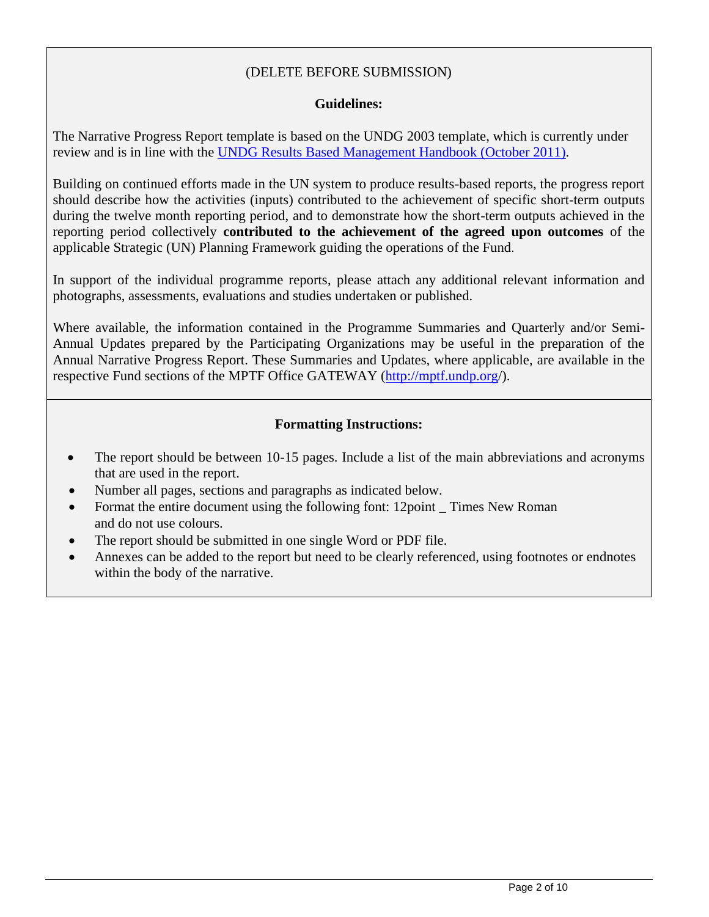## (DELETE BEFORE SUBMISSION)

### **Guidelines:**

The Narrative Progress Report template is based on the UNDG 2003 template, which is currently under review and is in line with the UNDG Results [Based Management Handbook \(October 2011\).](../../../../../eva.saenz/AppData/Local/Microsoft/Windows/Temporary%20Internet%20Files/Content.Outlook/AppData/Local/Microsoft/Windows/Temporary%20Internet%20Files/Content.Outlook/AppData/AppData/Local/Microsoft/Windows/Temporary%20Internet%20Files/Content.Outlook/AppData/Local/Microsoft/Windows/Temporary%20Internet%20Files/Content.Outlook/EPG6TJ9O/):%20%20http:/www.undg.org/docs/12316/UNDG-RBM%20Handbook-2012.pdf)

Building on continued efforts made in the UN system to produce results-based reports, the progress report should describe how the activities (inputs) contributed to the achievement of specific short-term outputs during the twelve month reporting period, and to demonstrate how the short-term outputs achieved in the reporting period collectively **contributed to the achievement of the agreed upon outcomes** of the applicable Strategic (UN) Planning Framework guiding the operations of the Fund.

In support of the individual programme reports, please attach any additional relevant information and photographs, assessments, evaluations and studies undertaken or published.

Where available, the information contained in the Programme Summaries and Quarterly and/or Semi-Annual Updates prepared by the Participating Organizations may be useful in the preparation of the Annual Narrative Progress Report. These Summaries and Updates, where applicable, are available in the respective Fund sections of the MPTF Office GATEWAY [\(http://mptf.undp.org/](http://mptf.undp.org/)).

### **Formatting Instructions:**

- The report should be between 10-15 pages. Include a list of the main abbreviations and acronyms that are used in the report.
- Number all pages, sections and paragraphs as indicated below.
- Format the entire document using the following font: 12point \_ Times New Roman and do not use colours.
- The report should be submitted in one single Word or PDF file.
- Annexes can be added to the report but need to be clearly referenced, using footnotes or endnotes within the body of the narrative.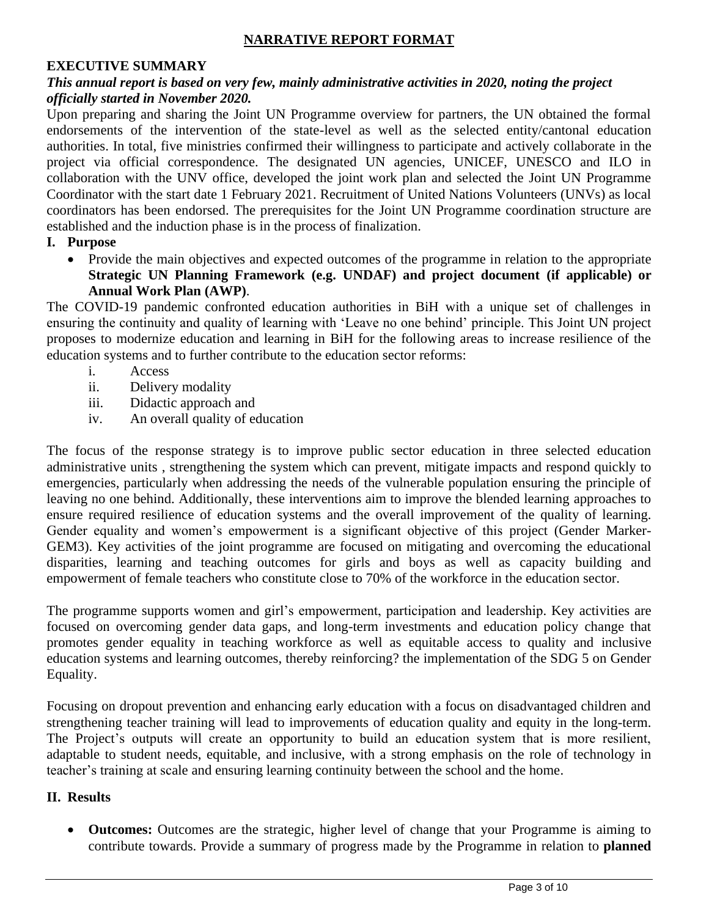### **NARRATIVE REPORT FORMAT**

### **EXECUTIVE SUMMARY**

#### *This annual report is based on very few, mainly administrative activities in 2020, noting the project officially started in November 2020.*

Upon preparing and sharing the Joint UN Programme overview for partners, the UN obtained the formal endorsements of the intervention of the state-level as well as the selected entity/cantonal education authorities. In total, five ministries confirmed their willingness to participate and actively collaborate in the project via official correspondence. The designated UN agencies, UNICEF, UNESCO and ILO in collaboration with the UNV office, developed the joint work plan and selected the Joint UN Programme Coordinator with the start date 1 February 2021. Recruitment of United Nations Volunteers (UNVs) as local coordinators has been endorsed. The prerequisites for the Joint UN Programme coordination structure are established and the induction phase is in the process of finalization.

#### **I. Purpose**

• Provide the main objectives and expected outcomes of the programme in relation to the appropriate **Strategic UN Planning Framework (e.g. UNDAF) and project document (if applicable) or Annual Work Plan (AWP)**.

The COVID-19 pandemic confronted education authorities in BiH with a unique set of challenges in ensuring the continuity and quality of learning with 'Leave no one behind' principle. This Joint UN project proposes to modernize education and learning in BiH for the following areas to increase resilience of the education systems and to further contribute to the education sector reforms:

- i. Access
- ii. Delivery modality
- iii. Didactic approach and
- iv. An overall quality of education

The focus of the response strategy is to improve public sector education in three selected education administrative units , strengthening the system which can prevent, mitigate impacts and respond quickly to emergencies, particularly when addressing the needs of the vulnerable population ensuring the principle of leaving no one behind. Additionally, these interventions aim to improve the blended learning approaches to ensure required resilience of education systems and the overall improvement of the quality of learning. Gender equality and women's empowerment is a significant objective of this project (Gender Marker-GEM3). Key activities of the joint programme are focused on mitigating and overcoming the educational disparities, learning and teaching outcomes for girls and boys as well as capacity building and empowerment of female teachers who constitute close to 70% of the workforce in the education sector.

The programme supports women and girl's empowerment, participation and leadership. Key activities are focused on overcoming gender data gaps, and long-term investments and education policy change that promotes gender equality in teaching workforce as well as equitable access to quality and inclusive education systems and learning outcomes, thereby reinforcing? the implementation of the SDG 5 on Gender Equality.

Focusing on dropout prevention and enhancing early education with a focus on disadvantaged children and strengthening teacher training will lead to improvements of education quality and equity in the long-term. The Project's outputs will create an opportunity to build an education system that is more resilient, adaptable to student needs, equitable, and inclusive, with a strong emphasis on the role of technology in teacher's training at scale and ensuring learning continuity between the school and the home.

#### **II. Results**

• **Outcomes:** Outcomes are the strategic, higher level of change that your Programme is aiming to contribute towards. Provide a summary of progress made by the Programme in relation to **planned**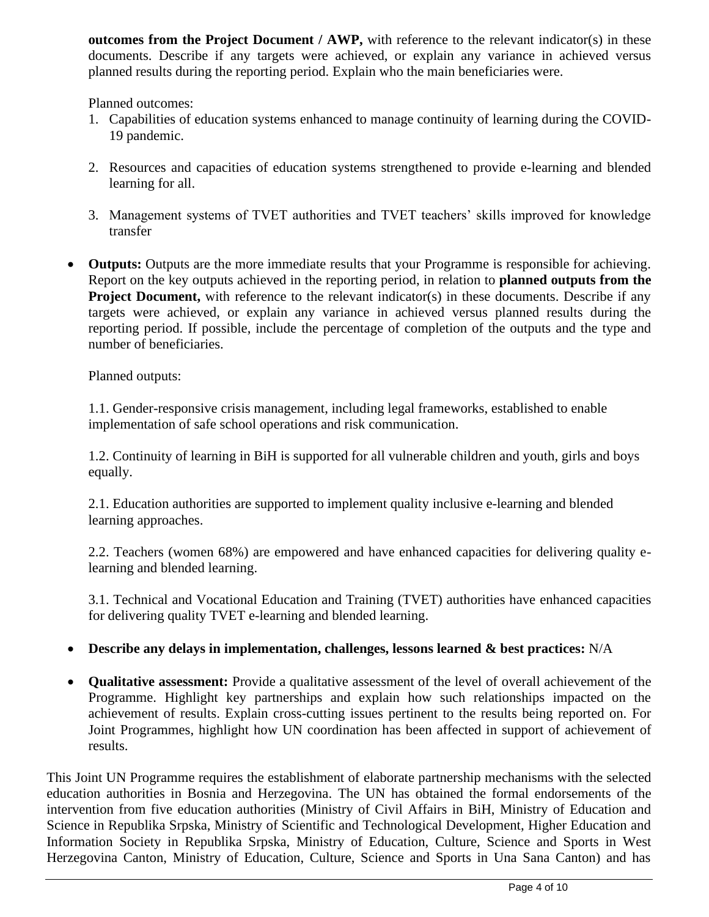**outcomes from the Project Document / AWP,** with reference to the relevant indicator(s) in these documents. Describe if any targets were achieved, or explain any variance in achieved versus planned results during the reporting period. Explain who the main beneficiaries were.

Planned outcomes:

- 1. Capabilities of education systems enhanced to manage continuity of learning during the COVID-19 pandemic.
- 2. Resources and capacities of education systems strengthened to provide e-learning and blended learning for all.
- 3. Management systems of TVET authorities and TVET teachers' skills improved for knowledge transfer
- **Outputs:** Outputs are the more immediate results that your Programme is responsible for achieving. Report on the key outputs achieved in the reporting period, in relation to **planned outputs from the Project Document,** with reference to the relevant indicator(s) in these documents. Describe if any targets were achieved, or explain any variance in achieved versus planned results during the reporting period. If possible, include the percentage of completion of the outputs and the type and number of beneficiaries.

Planned outputs:

1.1. Gender-responsive crisis management, including legal frameworks, established to enable implementation of safe school operations and risk communication.

1.2. Continuity of learning in BiH is supported for all vulnerable children and youth, girls and boys equally.

2.1. Education authorities are supported to implement quality inclusive e-learning and blended learning approaches.

2.2. Teachers (women 68%) are empowered and have enhanced capacities for delivering quality elearning and blended learning.

3.1. Technical and Vocational Education and Training (TVET) authorities have enhanced capacities for delivering quality TVET e-learning and blended learning.

# • **Describe any delays in implementation, challenges, lessons learned & best practices:** N/A

• **Qualitative assessment:** Provide a qualitative assessment of the level of overall achievement of the Programme. Highlight key partnerships and explain how such relationships impacted on the achievement of results. Explain cross-cutting issues pertinent to the results being reported on. For Joint Programmes, highlight how UN coordination has been affected in support of achievement of results.

This Joint UN Programme requires the establishment of elaborate partnership mechanisms with the selected education authorities in Bosnia and Herzegovina. The UN has obtained the formal endorsements of the intervention from five education authorities (Ministry of Civil Affairs in BiH, Ministry of Education and Science in Republika Srpska, Ministry of Scientific and Technological Development, Higher Education and Information Society in Republika Srpska, Ministry of Education, Culture, Science and Sports in West Herzegovina Canton, Ministry of Education, Culture, Science and Sports in Una Sana Canton) and has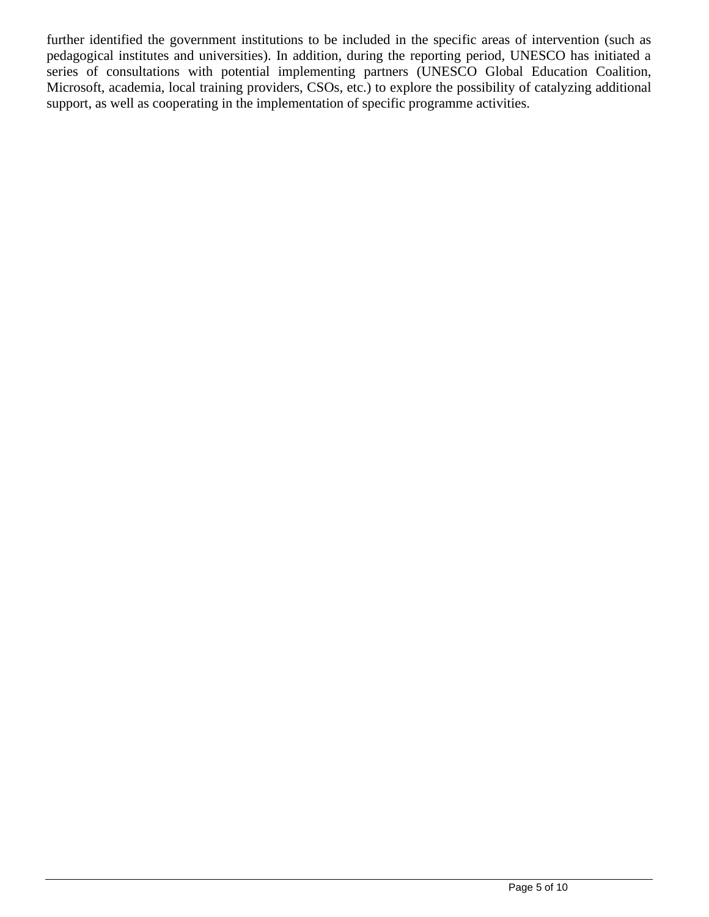further identified the government institutions to be included in the specific areas of intervention (such as pedagogical institutes and universities). In addition, during the reporting period, UNESCO has initiated a series of consultations with potential implementing partners (UNESCO Global Education Coalition, Microsoft, academia, local training providers, CSOs, etc.) to explore the possibility of catalyzing additional support, as well as cooperating in the implementation of specific programme activities.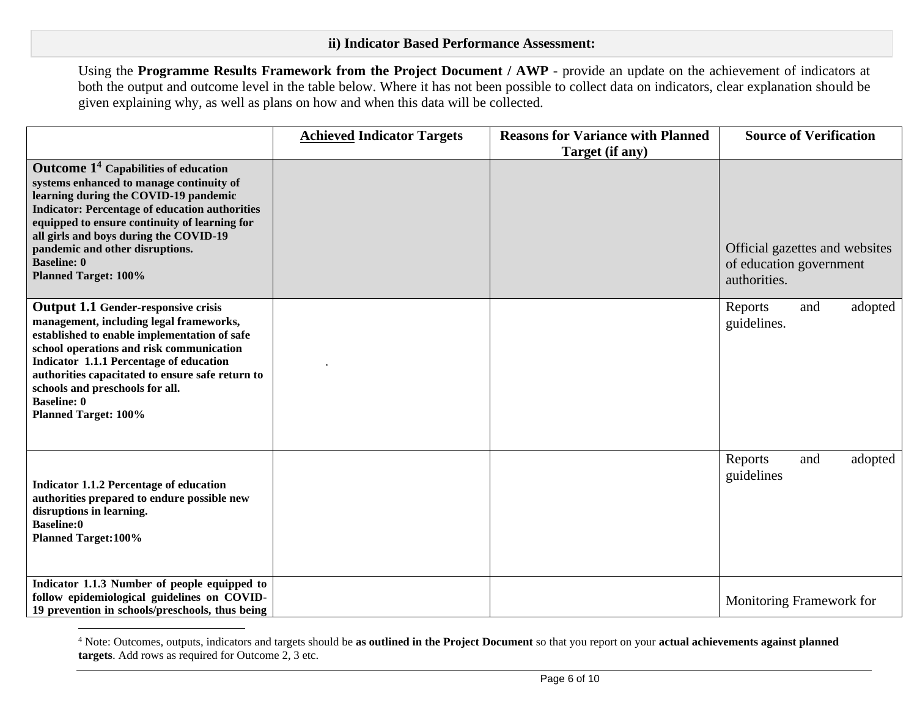Using the **Programme Results Framework from the Project Document / AWP** - provide an update on the achievement of indicators at both the output and outcome level in the table below. Where it has not been possible to collect data on indicators, clear explanation should be given explaining why, as well as plans on how and when this data will be collected.

|                                                                                                                                                                                                                                                                                                                                                                                         | <b>Achieved Indicator Targets</b> | <b>Reasons for Variance with Planned</b><br>Target (if any) | <b>Source of Verification</b>                                             |
|-----------------------------------------------------------------------------------------------------------------------------------------------------------------------------------------------------------------------------------------------------------------------------------------------------------------------------------------------------------------------------------------|-----------------------------------|-------------------------------------------------------------|---------------------------------------------------------------------------|
| <b>Outcome 1<sup>4</sup></b> Capabilities of education<br>systems enhanced to manage continuity of<br>learning during the COVID-19 pandemic<br><b>Indicator: Percentage of education authorities</b><br>equipped to ensure continuity of learning for<br>all girls and boys during the COVID-19<br>pandemic and other disruptions.<br><b>Baseline: 0</b><br><b>Planned Target: 100%</b> |                                   |                                                             | Official gazettes and websites<br>of education government<br>authorities. |
| <b>Output 1.1 Gender-responsive crisis</b><br>management, including legal frameworks,<br>established to enable implementation of safe<br>school operations and risk communication<br><b>Indicator 1.1.1 Percentage of education</b><br>authorities capacitated to ensure safe return to<br>schools and preschools for all.<br><b>Baseline: 0</b><br><b>Planned Target: 100%</b>         |                                   |                                                             | adopted<br>Reports<br>and<br>guidelines.                                  |
| <b>Indicator 1.1.2 Percentage of education</b><br>authorities prepared to endure possible new<br>disruptions in learning.<br><b>Baseline:0</b><br><b>Planned Target: 100%</b>                                                                                                                                                                                                           |                                   |                                                             | Reports<br>and<br>adopted<br>guidelines                                   |
| Indicator 1.1.3 Number of people equipped to<br>follow epidemiological guidelines on COVID-<br>19 prevention in schools/preschools, thus being                                                                                                                                                                                                                                          |                                   |                                                             | Monitoring Framework for                                                  |

<sup>4</sup> Note: Outcomes, outputs, indicators and targets should be **as outlined in the Project Document** so that you report on your **actual achievements against planned targets**. Add rows as required for Outcome 2, 3 etc.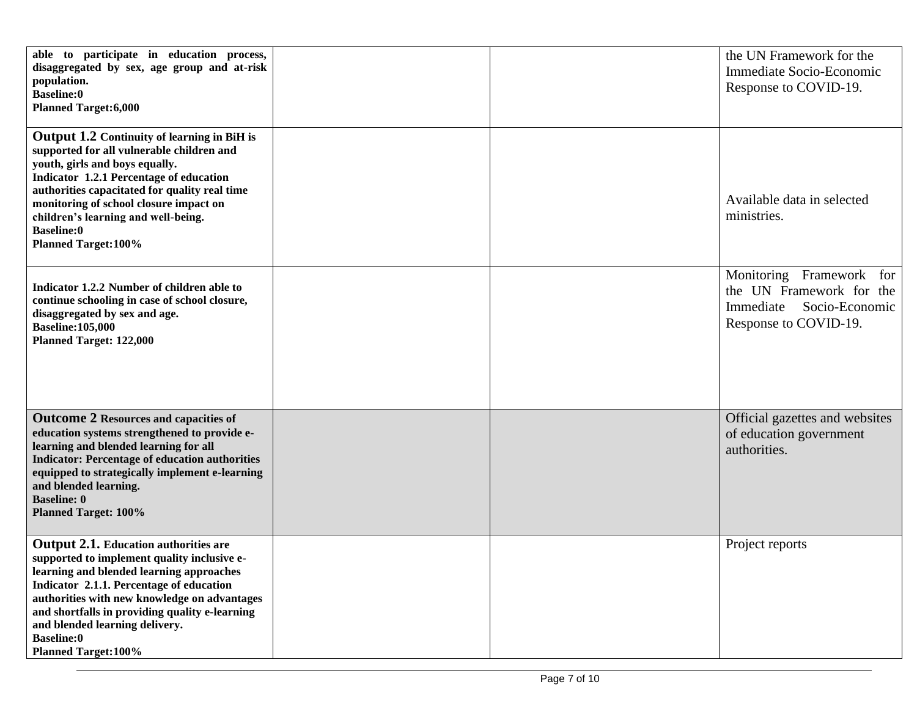| able to participate in education process,<br>disaggregated by sex, age group and at-risk<br>population.<br><b>Baseline:0</b><br><b>Planned Target:6,000</b>                                                                                                                                                                                                                 |  | the UN Framework for the<br>Immediate Socio-Economic<br>Response to COVID-19.                                |
|-----------------------------------------------------------------------------------------------------------------------------------------------------------------------------------------------------------------------------------------------------------------------------------------------------------------------------------------------------------------------------|--|--------------------------------------------------------------------------------------------------------------|
| <b>Output 1.2 Continuity of learning in BiH is</b><br>supported for all vulnerable children and<br>youth, girls and boys equally.<br>Indicator 1.2.1 Percentage of education<br>authorities capacitated for quality real time<br>monitoring of school closure impact on<br>children's learning and well-being.<br><b>Baseline:0</b><br><b>Planned Target: 100%</b>          |  | Available data in selected<br>ministries.                                                                    |
| Indicator 1.2.2 Number of children able to<br>continue schooling in case of school closure,<br>disaggregated by sex and age.<br><b>Baseline:105,000</b><br><b>Planned Target: 122,000</b>                                                                                                                                                                                   |  | Monitoring Framework for<br>the UN Framework for the<br>Socio-Economic<br>Immediate<br>Response to COVID-19. |
| <b>Outcome 2 Resources and capacities of</b><br>education systems strengthened to provide e-<br>learning and blended learning for all<br><b>Indicator: Percentage of education authorities</b><br>equipped to strategically implement e-learning<br>and blended learning.<br><b>Baseline: 0</b><br><b>Planned Target: 100%</b>                                              |  | Official gazettes and websites<br>of education government<br>authorities.                                    |
| <b>Output 2.1.</b> Education authorities are<br>supported to implement quality inclusive e-<br>learning and blended learning approaches<br>Indicator 2.1.1. Percentage of education<br>authorities with new knowledge on advantages<br>and shortfalls in providing quality e-learning<br>and blended learning delivery.<br><b>Baseline:0</b><br><b>Planned Target: 100%</b> |  | Project reports                                                                                              |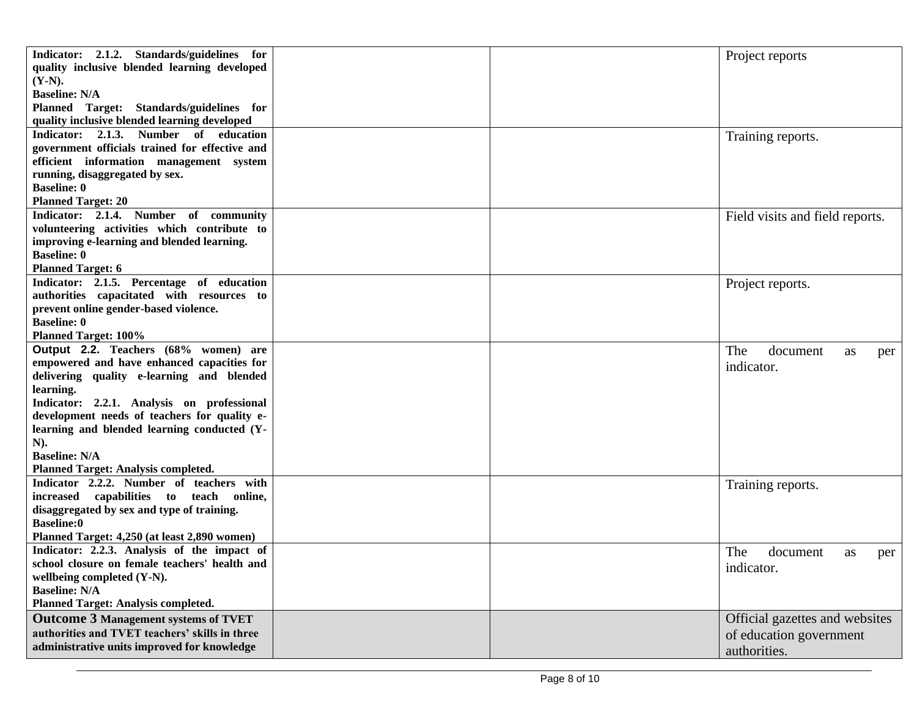| Indicator: 2.1.2. Standards/guidelines for<br>quality inclusive blended learning developed<br>$(Y-N).$ |  | Project reports                 |
|--------------------------------------------------------------------------------------------------------|--|---------------------------------|
| <b>Baseline: N/A</b>                                                                                   |  |                                 |
| Planned Target: Standards/guidelines for                                                               |  |                                 |
| quality inclusive blended learning developed                                                           |  |                                 |
| Indicator: 2.1.3. Number of education                                                                  |  | Training reports.               |
| government officials trained for effective and                                                         |  |                                 |
| efficient information management system                                                                |  |                                 |
| running, disaggregated by sex.                                                                         |  |                                 |
| <b>Baseline: 0</b>                                                                                     |  |                                 |
| <b>Planned Target: 20</b>                                                                              |  |                                 |
| Indicator: 2.1.4. Number of community                                                                  |  | Field visits and field reports. |
| volunteering activities which contribute to                                                            |  |                                 |
| improving e-learning and blended learning.                                                             |  |                                 |
| <b>Baseline: 0</b>                                                                                     |  |                                 |
| <b>Planned Target: 6</b>                                                                               |  |                                 |
| Indicator: 2.1.5. Percentage of education                                                              |  | Project reports.                |
| authorities capacitated with resources to                                                              |  |                                 |
| prevent online gender-based violence.                                                                  |  |                                 |
| <b>Baseline: 0</b>                                                                                     |  |                                 |
| <b>Planned Target: 100%</b>                                                                            |  |                                 |
| Output 2.2. Teachers (68% women) are                                                                   |  | The<br>document<br>as<br>per    |
| empowered and have enhanced capacities for                                                             |  | indicator.                      |
| delivering quality e-learning and blended                                                              |  |                                 |
| learning.                                                                                              |  |                                 |
| Indicator: 2.2.1. Analysis on professional                                                             |  |                                 |
| development needs of teachers for quality e-                                                           |  |                                 |
| learning and blended learning conducted (Y-                                                            |  |                                 |
| N).                                                                                                    |  |                                 |
| <b>Baseline: N/A</b>                                                                                   |  |                                 |
| <b>Planned Target: Analysis completed.</b>                                                             |  |                                 |
| Indicator 2.2.2. Number of teachers with                                                               |  | Training reports.               |
| increased capabilities to teach online,                                                                |  |                                 |
| disaggregated by sex and type of training.                                                             |  |                                 |
| <b>Baseline:0</b>                                                                                      |  |                                 |
| Planned Target: 4,250 (at least 2,890 women)                                                           |  |                                 |
| Indicator: 2.2.3. Analysis of the impact of                                                            |  | The<br>document<br>as<br>per    |
| school closure on female teachers' health and                                                          |  | indicator.                      |
| wellbeing completed (Y-N).                                                                             |  |                                 |
| <b>Baseline: N/A</b>                                                                                   |  |                                 |
| <b>Planned Target: Analysis completed.</b>                                                             |  |                                 |
| <b>Outcome 3 Management systems of TVET</b>                                                            |  | Official gazettes and websites  |
| authorities and TVET teachers' skills in three                                                         |  | of education government         |
| administrative units improved for knowledge                                                            |  | authorities.                    |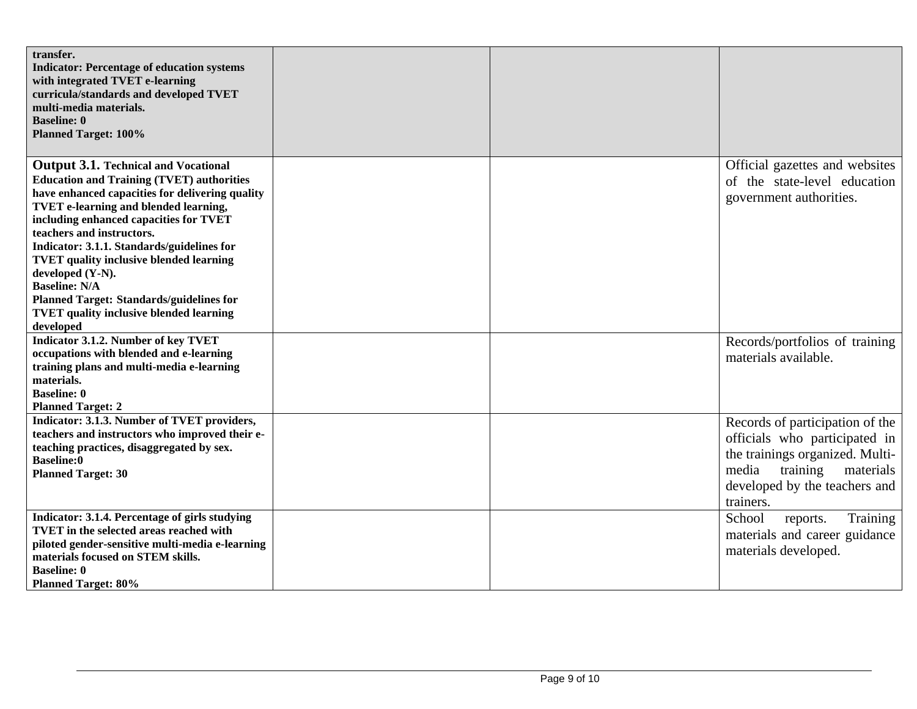| transfer.<br><b>Indicator: Percentage of education systems</b><br>with integrated TVET e-learning<br>curricula/standards and developed TVET<br>multi-media materials.<br><b>Baseline: 0</b><br><b>Planned Target: 100%</b>                                                                                                                                                                                                                                                                                                              |  |                                                                                                                                                                                     |
|-----------------------------------------------------------------------------------------------------------------------------------------------------------------------------------------------------------------------------------------------------------------------------------------------------------------------------------------------------------------------------------------------------------------------------------------------------------------------------------------------------------------------------------------|--|-------------------------------------------------------------------------------------------------------------------------------------------------------------------------------------|
| <b>Output 3.1. Technical and Vocational</b><br><b>Education and Training (TVET) authorities</b><br>have enhanced capacities for delivering quality<br><b>TVET e-learning and blended learning,</b><br>including enhanced capacities for TVET<br>teachers and instructors.<br>Indicator: 3.1.1. Standards/guidelines for<br><b>TVET quality inclusive blended learning</b><br>developed (Y-N).<br><b>Baseline: N/A</b><br><b>Planned Target: Standards/guidelines for</b><br><b>TVET quality inclusive blended learning</b><br>developed |  | Official gazettes and websites<br>of the state-level education<br>government authorities.                                                                                           |
| <b>Indicator 3.1.2. Number of key TVET</b><br>occupations with blended and e-learning<br>training plans and multi-media e-learning<br>materials.<br><b>Baseline: 0</b><br><b>Planned Target: 2</b>                                                                                                                                                                                                                                                                                                                                      |  | Records/portfolios of training<br>materials available.                                                                                                                              |
| Indicator: 3.1.3. Number of TVET providers,<br>teachers and instructors who improved their e-<br>teaching practices, disaggregated by sex.<br><b>Baseline:0</b><br><b>Planned Target: 30</b>                                                                                                                                                                                                                                                                                                                                            |  | Records of participation of the<br>officials who participated in<br>the trainings organized. Multi-<br>media<br>training<br>materials<br>developed by the teachers and<br>trainers. |
| Indicator: 3.1.4. Percentage of girls studying<br>TVET in the selected areas reached with<br>piloted gender-sensitive multi-media e-learning<br>materials focused on STEM skills.<br><b>Baseline: 0</b><br><b>Planned Target: 80%</b>                                                                                                                                                                                                                                                                                                   |  | School<br>Training<br>reports.<br>materials and career guidance<br>materials developed.                                                                                             |